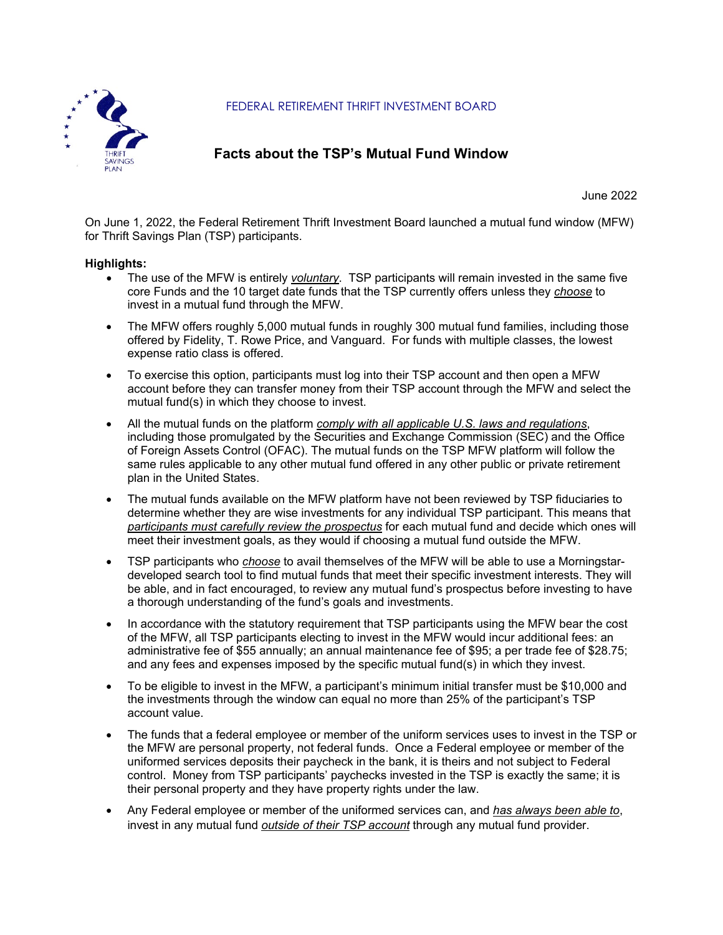

FEDERAL RETIREMENT THRIFT INVESTMENT BOARD

## **Facts about the TSP's Mutual Fund Window**

June 2022

On June 1, 2022, the Federal Retirement Thrift Investment Board launched a mutual fund window (MFW) for Thrift Savings Plan (TSP) participants.

## **Highlights:**

- The use of the MFW is entirely *voluntary*. TSP participants will remain invested in the same five core Funds and the 10 target date funds that the TSP currently offers unless they *choose* to invest in a mutual fund through the MFW.
- The MFW offers roughly 5,000 mutual funds in roughly 300 mutual fund families, including those offered by Fidelity, T. Rowe Price, and Vanguard. For funds with multiple classes, the lowest expense ratio class is offered.
- To exercise this option, participants must log into their TSP account and then open a MFW account before they can transfer money from their TSP account through the MFW and select the mutual fund(s) in which they choose to invest.
- All the mutual funds on the platform *comply with all applicable U.S. laws and regulations*, including those promulgated by the Securities and Exchange Commission (SEC) and the Office of Foreign Assets Control (OFAC). The mutual funds on the TSP MFW platform will follow the same rules applicable to any other mutual fund offered in any other public or private retirement plan in the United States.
- The mutual funds available on the MFW platform have not been reviewed by TSP fiduciaries to determine whether they are wise investments for any individual TSP participant. This means that *participants must carefully review the prospectus* for each mutual fund and decide which ones will meet their investment goals, as they would if choosing a mutual fund outside the MFW.
- TSP participants who *choose* to avail themselves of the MFW will be able to use a Morningstardeveloped search tool to find mutual funds that meet their specific investment interests. They will be able, and in fact encouraged, to review any mutual fund's prospectus before investing to have a thorough understanding of the fund's goals and investments.
- In accordance with the statutory requirement that TSP participants using the MFW bear the cost of the MFW, all TSP participants electing to invest in the MFW would incur additional fees: an administrative fee of \$55 annually; an annual maintenance fee of \$95; a per trade fee of \$28.75; and any fees and expenses imposed by the specific mutual fund(s) in which they invest.
- To be eligible to invest in the MFW, a participant's minimum initial transfer must be \$10,000 and the investments through the window can equal no more than 25% of the participant's TSP account value.
- The funds that a federal employee or member of the uniform services uses to invest in the TSP or the MFW are personal property, not federal funds. Once a Federal employee or member of the uniformed services deposits their paycheck in the bank, it is theirs and not subject to Federal control. Money from TSP participants' paychecks invested in the TSP is exactly the same; it is their personal property and they have property rights under the law.
- Any Federal employee or member of the uniformed services can, and *has always been able to*, invest in any mutual fund *outside of their TSP account* through any mutual fund provider.